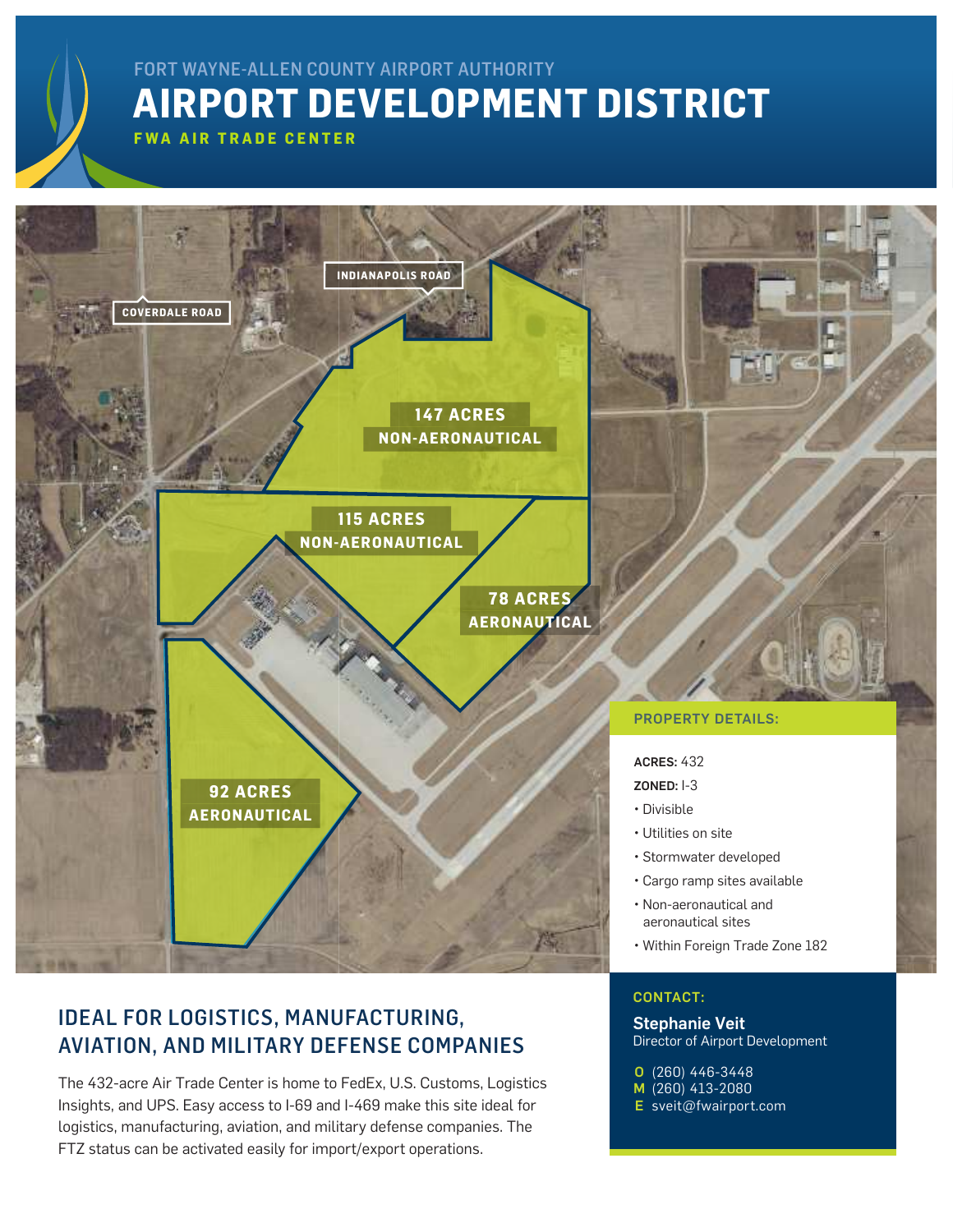## **AIRPORT DEVELOPMENT DISTRICT** FORT WAYNE-ALLEN COUNTY AIRPORT AUTHORITY

**FWA AIR TRADE CENTER**



Stephanie Veit

(260) 446-3448 O M (260) 413-2080 E [sveit@fwairport.com](mailto:sveit%40fwairport.com?subject=)

Director of Airport Development

### IDEAL FOR LOGISTICS, MANUFACTURING, AVIATION, AND MILITARY DEFENSE COMPANIES

The 432-acre Air Trade Center is home to FedEx, U.S. Customs, Logistics Insights, and UPS. Easy access to I-69 and I-469 make this site ideal for logistics, manufacturing, aviation, and military defense companies. The FTZ status can be activated easily for import/export operations.